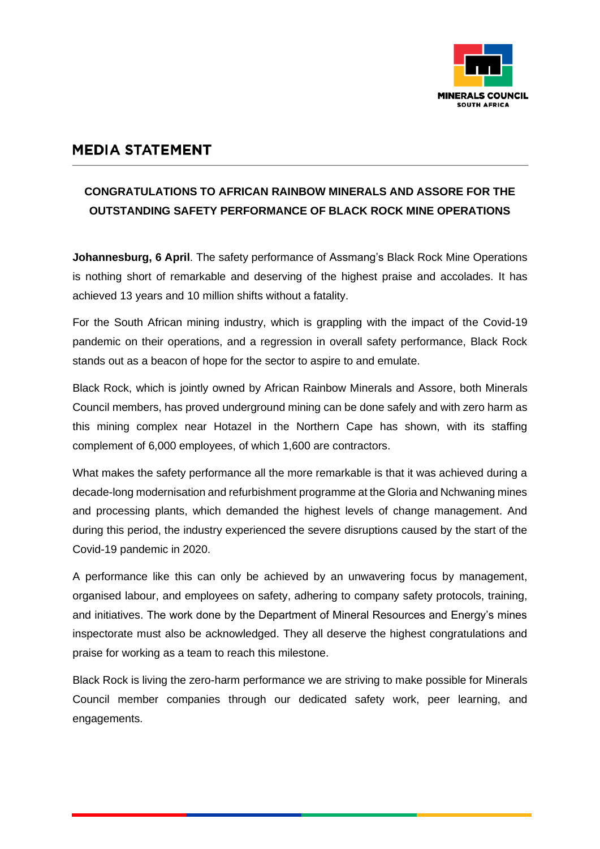

## **MEDIA STATEMENT**

## **CONGRATULATIONS TO AFRICAN RAINBOW MINERALS AND ASSORE FOR THE OUTSTANDING SAFETY PERFORMANCE OF BLACK ROCK MINE OPERATIONS**

**Johannesburg, 6 April**. The safety performance of Assmang's Black Rock Mine Operations is nothing short of remarkable and deserving of the highest praise and accolades. It has achieved 13 years and 10 million shifts without a fatality.

For the South African mining industry, which is grappling with the impact of the Covid-19 pandemic on their operations, and a regression in overall safety performance, Black Rock stands out as a beacon of hope for the sector to aspire to and emulate.

Black Rock, which is jointly owned by African Rainbow Minerals and Assore, both Minerals Council members, has proved underground mining can be done safely and with zero harm as this mining complex near Hotazel in the Northern Cape has shown, with its staffing complement of 6,000 employees, of which 1,600 are contractors.

What makes the safety performance all the more remarkable is that it was achieved during a decade-long modernisation and refurbishment programme at the Gloria and Nchwaning mines and processing plants, which demanded the highest levels of change management. And during this period, the industry experienced the severe disruptions caused by the start of the Covid-19 pandemic in 2020.

A performance like this can only be achieved by an unwavering focus by management, organised labour, and employees on safety, adhering to company safety protocols, training, and initiatives. The work done by the Department of Mineral Resources and Energy's mines inspectorate must also be acknowledged. They all deserve the highest congratulations and praise for working as a team to reach this milestone.

Black Rock is living the zero-harm performance we are striving to make possible for Minerals Council member companies through our dedicated safety work, peer learning, and engagements.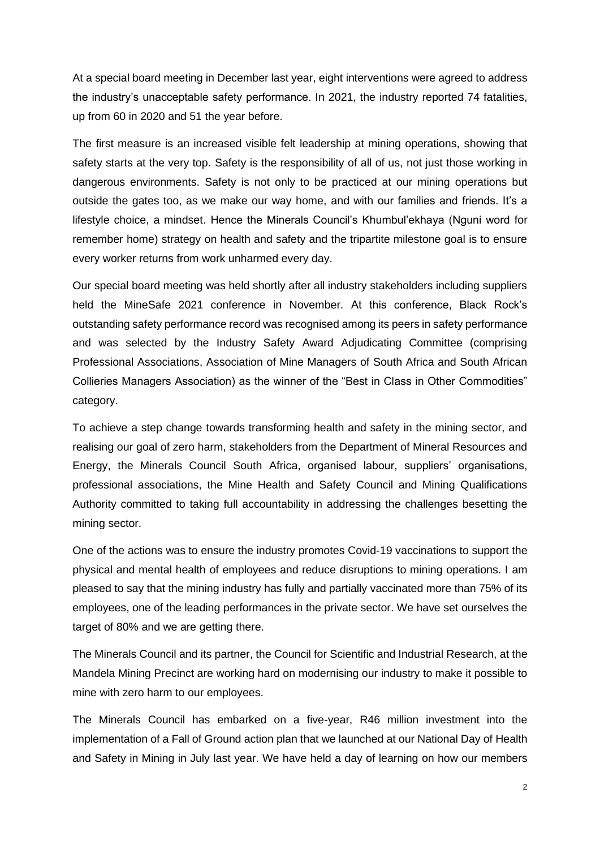At a special board meeting in December last year, eight interventions were agreed to address the industry's unacceptable safety performance. In 2021, the industry reported 74 fatalities, up from 60 in 2020 and 51 the year before.

The first measure is an increased visible felt leadership at mining operations, showing that safety starts at the very top. Safety is the responsibility of all of us, not just those working in dangerous environments. Safety is not only to be practiced at our mining operations but outside the gates too, as we make our way home, and with our families and friends. It's a lifestyle choice, a mindset. Hence the Minerals Council's Khumbul'ekhaya (Nguni word for remember home) strategy on health and safety and the tripartite milestone goal is to ensure every worker returns from work unharmed every day.

Our special board meeting was held shortly after all industry stakeholders including suppliers held the MineSafe 2021 conference in November. At this conference, Black Rock's outstanding safety performance record was recognised among its peers in safety performance and was selected by the Industry Safety Award Adjudicating Committee (comprising Professional Associations, Association of Mine Managers of South Africa and South African Collieries Managers Association) as the winner of the "Best in Class in Other Commodities" category.

To achieve a step change towards transforming health and safety in the mining sector, and realising our goal of zero harm, stakeholders from the Department of Mineral Resources and Energy, the Minerals Council South Africa, organised labour, suppliers' organisations, professional associations, the Mine Health and Safety Council and Mining Qualifications Authority committed to taking full accountability in addressing the challenges besetting the mining sector.

One of the actions was to ensure the industry promotes Covid-19 vaccinations to support the physical and mental health of employees and reduce disruptions to mining operations. I am pleased to say that the mining industry has fully and partially vaccinated more than 75% of its employees, one of the leading performances in the private sector. We have set ourselves the target of 80% and we are getting there.

The Minerals Council and its partner, the Council for Scientific and Industrial Research, at the Mandela Mining Precinct are working hard on modernising our industry to make it possible to mine with zero harm to our employees.

The Minerals Council has embarked on a five-year, R46 million investment into the implementation of a Fall of Ground action plan that we launched at our National Day of Health and Safety in Mining in July last year. We have held a day of learning on how our members